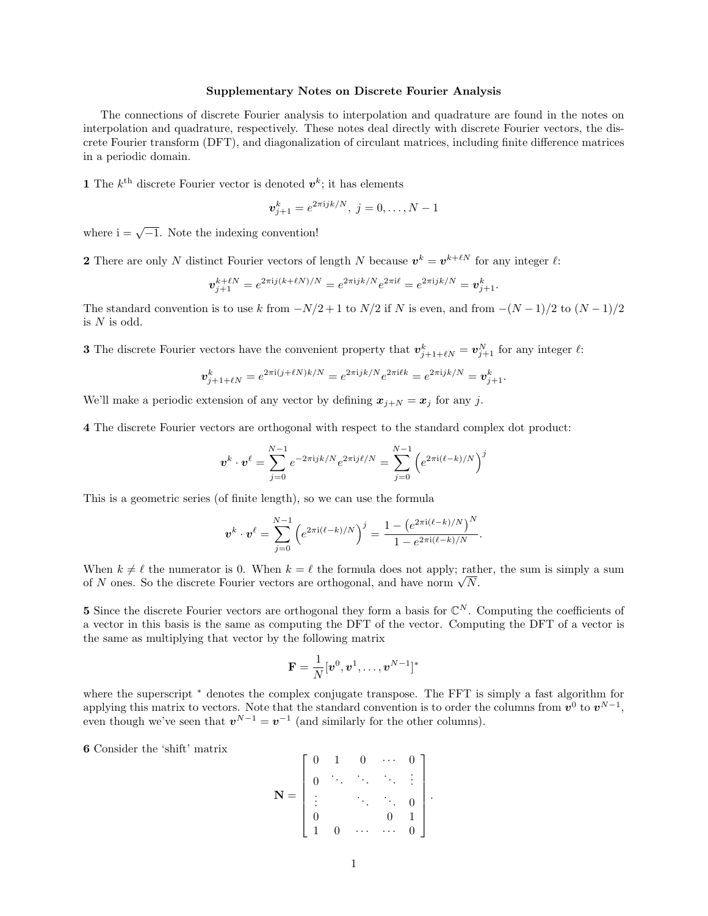## Supplementary Notes on Discrete Fourier Analysis

The connections of discrete Fourier analysis to interpolation and quadrature are found in the notes on interpolation and quadrature, respectively. These notes deal directly with discrete Fourier vectors, the discrete Fourier transform (DFT), and diagonalization of circulant matrices, including finite difference matrices in a periodic domain.

1 The  $k^{\text{th}}$  discrete Fourier vector is denoted  $v^k$ ; it has elements

$$
\bm{v}_{j+1}^k = e^{2\pi i jk/N}, \; j = 0, \dots, N-1
$$

where  $i = \sqrt{-1}$ . Note the indexing convention!

**2** There are only N distinct Fourier vectors of length N because  $v^k = v^{k+\ell N}$  for any integer  $\ell$ :

$$
\mathbf{v}_{j+1}^{k+\ell N} = e^{2\pi i j(k+\ell N)/N} = e^{2\pi i jk/N} e^{2\pi i \ell} = e^{2\pi i jk/N} = \mathbf{v}_{j+1}^k.
$$

The standard convention is to use k from  $-N/2 + 1$  to  $N/2$  if N is even, and from  $-(N-1)/2$  to  $(N-1)/2$ is  $N$  is odd.

**3** The discrete Fourier vectors have the convenient property that  $v_{j+1+\ell N}^k = v_{j+1}^N$  for any integer  $\ell$ :

$$
\mathbf{v}_{j+1+\ell N}^k = e^{2\pi i (j+\ell N)k/N} = e^{2\pi i jk/N} e^{2\pi i \ell k} = e^{2\pi i jk/N} = \mathbf{v}_{j+1}^k.
$$

We'll make a periodic extension of any vector by defining  $x_{j+N} = x_j$  for any j.

4 The discrete Fourier vectors are orthogonal with respect to the standard complex dot product:

$$
\bm{v}^k \cdot \bm{v}^\ell = \sum_{j=0}^{N-1} e^{-2\pi \mathrm{i} j k / N} e^{2\pi \mathrm{i} j \ell / N} = \sum_{j=0}^{N-1} \left( e^{2\pi \mathrm{i} (\ell - k) / N} \right)^j
$$

This is a geometric series (of finite length), so we can use the formula

$$
\boldsymbol{v}^{k} \cdot \boldsymbol{v}^{\ell} = \sum_{j=0}^{N-1} \left( e^{2\pi i (\ell - k)/N} \right)^{j} = \frac{1 - \left( e^{2\pi i (\ell - k)/N} \right)^{N}}{1 - e^{2\pi i (\ell - k)/N}}.
$$

When  $k \neq \ell$  the numerator is 0. When  $k = \ell$  the formula does not apply; rather, the sum is simply a sum when  $\kappa \neq \ell$  the numerator is 0. When  $\kappa = \ell$  the formula does not apply; rate of N ones. So the discrete Fourier vectors are orthogonal, and have norm  $\sqrt{N}$ .

5 Since the discrete Fourier vectors are orthogonal they form a basis for  $\mathbb{C}^N$ . Computing the coefficients of a vector in this basis is the same as computing the DFT of the vector. Computing the DFT of a vector is the same as multiplying that vector by the following matrix

$$
\mathbf{F} = \frac{1}{N} [\boldsymbol{v}^0, \boldsymbol{v}^1, \dots, \boldsymbol{v}^{N-1}]^*
$$

where the superscript  $*$  denotes the complex conjugate transpose. The FFT is simply a fast algorithm for applying this matrix to vectors. Note that the standard convention is to order the columns from  $v^0$  to  $v^{N-1}$ , even though we've seen that  $v^{N-1} = v^{-1}$  (and similarly for the other columns).

6 Consider the 'shift' matrix

$$
\mathbf{N} = \begin{bmatrix} 0 & 1 & 0 & \cdots & 0 \\ 0 & \ddots & \ddots & \ddots & \vdots \\ \vdots & & \ddots & \ddots & 0 \\ 0 & & & 0 & 1 \\ 1 & 0 & \cdots & \cdots & 0 \end{bmatrix}.
$$

 $\sim$   $\sim$ 

 $\mathbf{r}$